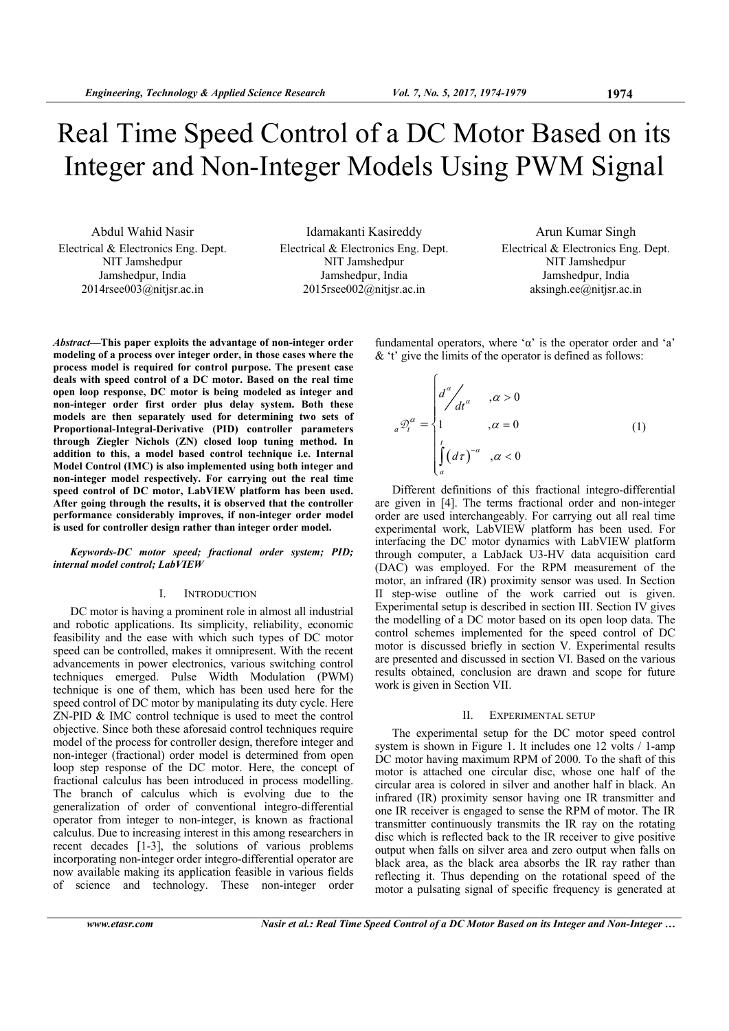$\sqrt{ }$ 

# Real Time Speed Control of a DC Motor Based on its Integer and Non-Integer Models Using PWM Signal

Abdul Wahid Nasir Electrical & Electronics Eng. Dept. NIT Jamshedpur Jamshedpur, India  $2014$ rsee $003$ @nitjsr.ac.in

Idamakanti Kasireddy Electrical & Electronics Eng. Dept. NIT Jamshedpur Jamshedpur, India 2015rsee002@nitjsr.ac.in

Arun Kumar Singh Electrical & Electronics Eng. Dept. NIT Jamshedpur Jamshedpur, India aksingh.ee@nitjsr.ac.in

fundamental operators, where ' $\alpha$ ' is the operator order and 'a' & 't' give the limits of the operator is defined as follows:

*Abstract***—This paper exploits the advantage of non-integer order modeling of a process over integer order, in those cases where the process model is required for control purpose. The present case deals with speed control of a DC motor. Based on the real time open loop response, DC motor is being modeled as integer and non-integer order first order plus delay system. Both these models are then separately used for determining two sets of Proportional-Integral-Derivative (PID) controller parameters through Ziegler Nichols (ZN) closed loop tuning method. In addition to this, a model based control technique i.e. Internal Model Control (IMC) is also implemented using both integer and non-integer model respectively. For carrying out the real time speed control of DC motor, LabVIEW platform has been used. After going through the results, it is observed that the controller performance considerably improves, if non-integer order model is used for controller design rather than integer order model.** 

*Keywords-DC motor speed; fractional order system; PID; internal model control; LabVIEW* 

# I. INTRODUCTION

DC motor is having a prominent role in almost all industrial and robotic applications. Its simplicity, reliability, economic feasibility and the ease with which such types of DC motor speed can be controlled, makes it omnipresent. With the recent advancements in power electronics, various switching control techniques emerged. Pulse Width Modulation (PWM) technique is one of them, which has been used here for the speed control of DC motor by manipulating its duty cycle. Here ZN-PID & IMC control technique is used to meet the control objective. Since both these aforesaid control techniques require model of the process for controller design, therefore integer and non-integer (fractional) order model is determined from open loop step response of the DC motor. Here, the concept of fractional calculus has been introduced in process modelling. The branch of calculus which is evolving due to the generalization of order of conventional integro-differential operator from integer to non-integer, is known as fractional calculus. Due to increasing interest in this among researchers in recent decades [1-3], the solutions of various problems incorporating non-integer order integro-differential operator are now available making its application feasible in various fields of science and technology. These non-integer order

$$
{}_{a}\mathcal{D}_{t}^{\alpha} = \begin{cases} d^{\alpha} \\ 1 \\ 1 \end{cases} , \alpha > 0
$$
\n
$$
{}_{a}\mathcal{D}_{t}^{\alpha} = \begin{cases} 1 \\ \int_{a}^{t} (d\tau)^{-\alpha} \\ 0 \end{cases} , \alpha < 0
$$
\n
$$
(1)
$$

Different definitions of this fractional integro-differential are given in [4]. The terms fractional order and non-integer order are used interchangeably. For carrying out all real time experimental work, LabVIEW platform has been used. For interfacing the DC motor dynamics with LabVIEW platform through computer, a LabJack U3-HV data acquisition card (DAC) was employed. For the RPM measurement of the motor, an infrared (IR) proximity sensor was used. In Section II step-wise outline of the work carried out is given. Experimental setup is described in section III. Section IV gives the modelling of a DC motor based on its open loop data. The control schemes implemented for the speed control of DC motor is discussed briefly in section V. Experimental results are presented and discussed in section VI. Based on the various results obtained, conclusion are drawn and scope for future work is given in Section VII.

## II. EXPERIMENTAL SETUP

The experimental setup for the DC motor speed control system is shown in Figure 1. It includes one 12 volts / 1-amp DC motor having maximum RPM of 2000. To the shaft of this motor is attached one circular disc, whose one half of the circular area is colored in silver and another half in black. An infrared (IR) proximity sensor having one IR transmitter and one IR receiver is engaged to sense the RPM of motor. The IR transmitter continuously transmits the IR ray on the rotating disc which is reflected back to the IR receiver to give positive output when falls on silver area and zero output when falls on black area, as the black area absorbs the IR ray rather than reflecting it. Thus depending on the rotational speed of the motor a pulsating signal of specific frequency is generated at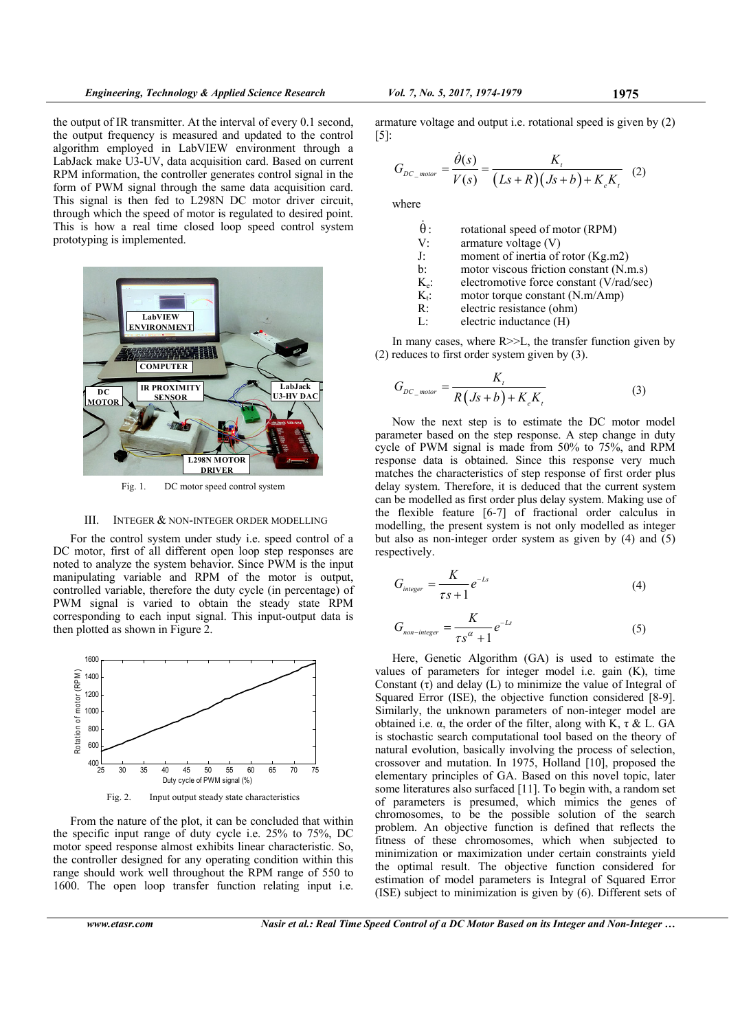the output of IR transmitter. At the interval of every 0.1 second, the output frequency is measured and updated to the control algorithm employed in LabVIEW environment through a LabJack make U3-UV, data acquisition card. Based on current RPM information, the controller generates control signal in the form of PWM signal through the same data acquisition card. This signal is then fed to L298N DC motor driver circuit, through which the speed of motor is regulated to desired point. This is how a real time closed loop speed control system



prototyping is implemented.

Fig. 1. DC motor speed control system

# III. INTEGER & NON-INTEGER ORDER MODELLING

For the control system under study i.e. speed control of a DC motor, first of all different open loop step responses are noted to analyze the system behavior. Since PWM is the input manipulating variable and RPM of the motor is output, controlled variable, therefore the duty cycle (in percentage) of PWM signal is varied to obtain the steady state RPM corresponding to each input signal. This input-output data is then plotted as shown in Figure 2.



From the nature of the plot, it can be concluded that within the specific input range of duty cycle i.e. 25% to 75%, DC motor speed response almost exhibits linear characteristic. So, the controller designed for any operating condition within this range should work well throughout the RPM range of 550 to 1600. The open loop transfer function relating input i.e.

armature voltage and output i.e. rotational speed is given by (2) [5]:

$$
G_{DC\_motor} = \frac{\dot{\theta}(s)}{V(s)} = \frac{K_t}{(Ls+R)(Js+b)+K_eK_t} \quad (2)
$$

where

| $\theta$ :     | rotational speed of motor (RPM)          |
|----------------|------------------------------------------|
| V:             | armature voltage $(V)$                   |
| J:             | moment of inertia of rotor (Kg.m2)       |
| $\mathbf{b}$ : | motor viscous friction constant (N.m.s)  |
| $K_e$ :        | electromotive force constant (V/rad/sec) |
| $K_{t}$ .      | motor torque constant (N.m/Amp)          |
| R:             | electric resistance (ohm)                |
| Ŀ              | electric inductance (H)                  |

In many cases, where  $R \geq L$ , the transfer function given by (2) reduces to first order system given by (3).

$$
G_{DC\_motor} = \frac{K_t}{R(Js+b) + K_e K_t}
$$
\n(3)

Now the next step is to estimate the DC motor model parameter based on the step response. A step change in duty cycle of PWM signal is made from 50% to 75%, and RPM response data is obtained. Since this response very much matches the characteristics of step response of first order plus delay system. Therefore, it is deduced that the current system can be modelled as first order plus delay system. Making use of the flexible feature [6-7] of fractional order calculus in modelling, the present system is not only modelled as integer but also as non-integer order system as given by (4) and (5) respectively.

$$
G_{integer} = \frac{K}{\tau s + 1} e^{-L s}
$$
 (4)

$$
G_{non-integer} = \frac{K}{\tau s^{\alpha} + 1} e^{-L s}
$$
 (5)

Here, Genetic Algorithm (GA) is used to estimate the values of parameters for integer model i.e. gain (K), time Constant  $(\tau)$  and delay (L) to minimize the value of Integral of Squared Error (ISE), the objective function considered [8-9]. Similarly, the unknown parameters of non-integer model are obtained i.e.  $\alpha$ , the order of the filter, along with K, τ & L. GA is stochastic search computational tool based on the theory of natural evolution, basically involving the process of selection, crossover and mutation. In 1975, Holland [10], proposed the elementary principles of GA. Based on this novel topic, later some literatures also surfaced [11]. To begin with, a random set of parameters is presumed, which mimics the genes of chromosomes, to be the possible solution of the search problem. An objective function is defined that reflects the fitness of these chromosomes, which when subjected to minimization or maximization under certain constraints yield the optimal result. The objective function considered for estimation of model parameters is Integral of Squared Error (ISE) subject to minimization is given by (6). Different sets of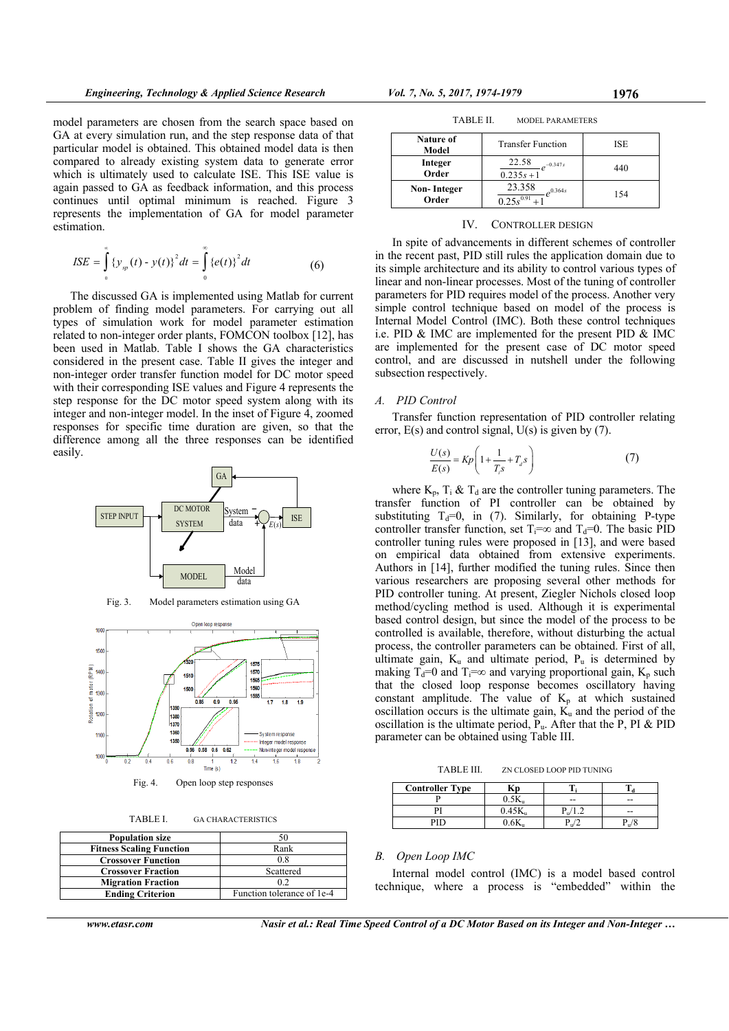model parameters are chosen from the search space based on GA at every simulation run, and the step response data of that particular model is obtained. This obtained model data is then compared to already existing system data to generate error which is ultimately used to calculate ISE. This ISE value is again passed to GA as feedback information, and this process continues until optimal minimum is reached. Figure 3 represents the implementation of GA for model parameter estimation.

$$
ISE = \int_{0}^{\infty} {\{y_{sp}(t) - y(t)\}}^2 dt = \int_{0}^{\infty} {\{e(t)\}}^2 dt
$$
 (6)

The discussed GA is implemented using Matlab for current problem of finding model parameters. For carrying out all types of simulation work for model parameter estimation related to non-integer order plants, FOMCON toolbox [12], has been used in Matlab. Table I shows the GA characteristics considered in the present case. Table II gives the integer and non-integer order transfer function model for DC motor speed with their corresponding ISE values and Figure 4 represents the step response for the DC motor speed system along with its integer and non-integer model. In the inset of Figure 4, zoomed responses for specific time duration are given, so that the difference among all the three responses can be identified easily.







Fig. 4. Open loop step responses

| TABLE I.<br><b>GA CHARACTERISTICS</b> |  |
|---------------------------------------|--|
|---------------------------------------|--|

| <b>Population size</b>          |                            |
|---------------------------------|----------------------------|
| <b>Fitness Scaling Function</b> | Rank                       |
| <b>Crossover Function</b>       | 0.8                        |
| <b>Crossover Fraction</b>       | Scattered                  |
| <b>Migration Fraction</b>       | 02                         |
| <b>Ending Criterion</b>         | Function tolerance of 1e-4 |

*www.etasr.com Nasir et al.: Real Time Speed Control of a DC Motor Based on its Integer and Non-Integer …*

| TABLE II.<br><b>MODEL PARAMETERS</b> |                                             |     |  |  |  |
|--------------------------------------|---------------------------------------------|-----|--|--|--|
| <b>Nature of</b><br>Model            | <b>Transfer Function</b>                    | ISE |  |  |  |
| Integer<br>Order                     | 22.58<br>$-0.347s$<br>$0.235s + 1$          | 440 |  |  |  |
| Non-Integer<br>Order                 | 23.358<br>0.364s<br>$0.25e^{\sqrt{0.91}+1}$ | 154 |  |  |  |

#### IV. CONTROLLER DESIGN

In spite of advancements in different schemes of controller in the recent past, PID still rules the application domain due to its simple architecture and its ability to control various types of linear and non-linear processes. Most of the tuning of controller parameters for PID requires model of the process. Another very simple control technique based on model of the process is Internal Model Control (IMC). Both these control techniques i.e. PID & IMC are implemented for the present PID & IMC are implemented for the present case of DC motor speed control, and are discussed in nutshell under the following subsection respectively.

#### *A. PID Control*

Transfer function representation of PID controller relating error, E(s) and control signal, U(s) is given by (7).

$$
\frac{U(s)}{E(s)} = Kp \left( 1 + \frac{1}{T_s s} + T_d s \right)
$$
\n<sup>(7)</sup>

where  $K_p$ ,  $T_i \& T_d$  are the controller tuning parameters. The transfer function of PI controller can be obtained by substituting  $T_d=0$ , in (7). Similarly, for obtaining P-type controller transfer function, set  $T_i = \infty$  and  $T_d = 0$ . The basic PID controller tuning rules were proposed in [13], and were based on empirical data obtained from extensive experiments. Authors in [14], further modified the tuning rules. Since then various researchers are proposing several other methods for PID controller tuning. At present, Ziegler Nichols closed loop method/cycling method is used. Although it is experimental based control design, but since the model of the process to be controlled is available, therefore, without disturbing the actual process, the controller parameters can be obtained. First of all, ultimate gain,  $K_u$  and ultimate period,  $P_u$  is determined by making T<sub>d</sub>=0 and T<sub>i</sub>=∞ and varying proportional gain, K<sub>p</sub> such that the closed loop response becomes oscillatory having constant amplitude. The value of  $K_p$  at which sustained oscillation occurs is the ultimate gain,  $\hat{K_u}$  and the period of the oscillation is the ultimate period,  $P_{\mu}$ . After that the P, PI & PID parameter can be obtained using Table III.

TABLE III. ZN CLOSED LOOP PID TUNING

| <b>Controller Type</b> | Кp     |                 |                   |
|------------------------|--------|-----------------|-------------------|
|                        | 0.5K   | --              | --                |
|                        | 0.45K, | 11 <sup>7</sup> | --                |
| PID                    |        | u'              | r <sub>u</sub> /c |

## *B. Open Loop IMC*

Internal model control (IMC) is a model based control technique, where a process is "embedded" within the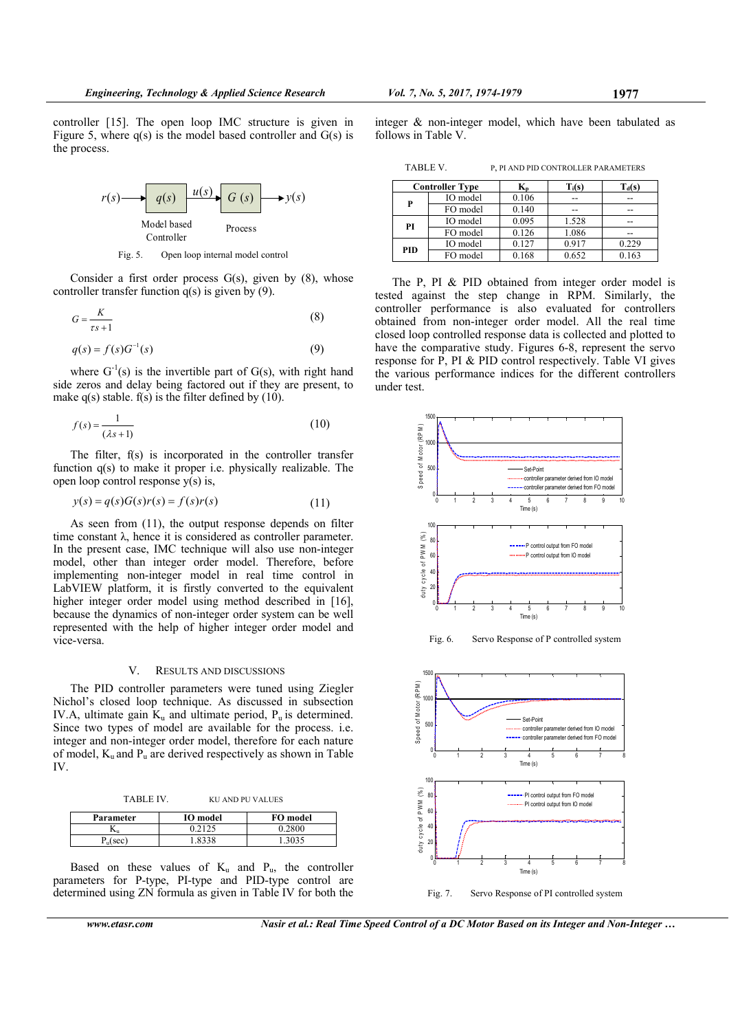controller [15]. The open loop IMC structure is given in Figure 5, where  $q(s)$  is the model based controller and  $G(s)$  is the process.



Fig. 5. Open loop internal model control

Consider a first order process  $G(s)$ , given by  $(8)$ , whose controller transfer function q(s) is given by (9).

$$
G = \frac{K}{\tau s + 1} \tag{8}
$$

$$
q(s) = f(s)G^{-1}(s)
$$
\n<sup>(9)</sup>

where  $G^{-1}(s)$  is the invertible part of  $G(s)$ , with right hand side zeros and delay being factored out if they are present, to make  $q(s)$  stable.  $f(s)$  is the filter defined by (10).

$$
f(s) = \frac{1}{(\lambda s + 1)}
$$
\n(10)

The filter, f(s) is incorporated in the controller transfer function q(s) to make it proper i.e. physically realizable. The open loop control response y(s) is,

$$
y(s) = q(s)G(s)r(s) = f(s)r(s)
$$
\n(11)

As seen from (11), the output response depends on filter time constant λ, hence it is considered as controller parameter. In the present case, IMC technique will also use non-integer model, other than integer order model. Therefore, before implementing non-integer model in real time control in LabVIEW platform, it is firstly converted to the equivalent higher integer order model using method described in [16]. because the dynamics of non-integer order system can be well represented with the help of higher integer order model and vice-versa.

#### V. RESULTS AND DISCUSSIONS

The PID controller parameters were tuned using Ziegler Nichol's closed loop technique. As discussed in subsection IV.A, ultimate gain  $K_u$  and ultimate period,  $P_u$  is determined. Since two types of model are available for the process. i.e. integer and non-integer order model, therefore for each nature of model,  $K_u$  and  $P_u$  are derived respectively as shown in Table IV.

TABLE IV. KU AND PU VALUES

| Parameter | <b>IO</b> model | FO model |
|-----------|-----------------|----------|
| 17.11     |                 | 0.2800   |
| 0.22      |                 | 3035     |

Based on these values of  $K_u$  and  $P_u$ , the controller parameters for P-type, PI-type and PID-type control are determined using ZN formula as given in Table IV for both the

*www.etasr.com Nasir et al.: Real Time Speed Control of a DC Motor Based on its Integer and Non-Integer …*

integer & non-integer model, which have been tabulated as follows in Table V.

TABLE V. P, PI AND PID CONTROLLER PARAMETERS

|            | <b>Controller Type</b> | ĸ,    | $T_i(s)$ | $\Gamma_{\rm d}({\bf s})$ |
|------------|------------------------|-------|----------|---------------------------|
| P          | IO model               | 0.106 |          | --                        |
|            | FO model               | 0.140 |          | --                        |
| PI         | IO model               | 0.095 | 1.528    | --                        |
|            | FO model               | 0.126 | 1.086    | --                        |
| <b>PID</b> | IO model               | 0.127 | 0.917    | 0.229                     |
|            | FO model               | 0.168 | 0.652    | 0.163                     |

The P, PI & PID obtained from integer order model is tested against the step change in RPM. Similarly, the controller performance is also evaluated for controllers obtained from non-integer order model. All the real time closed loop controlled response data is collected and plotted to have the comparative study. Figures 6-8, represent the servo response for P, PI & PID control respectively. Table VI gives the various performance indices for the different controllers under test.



Fig. 6. Servo Response of P controlled system

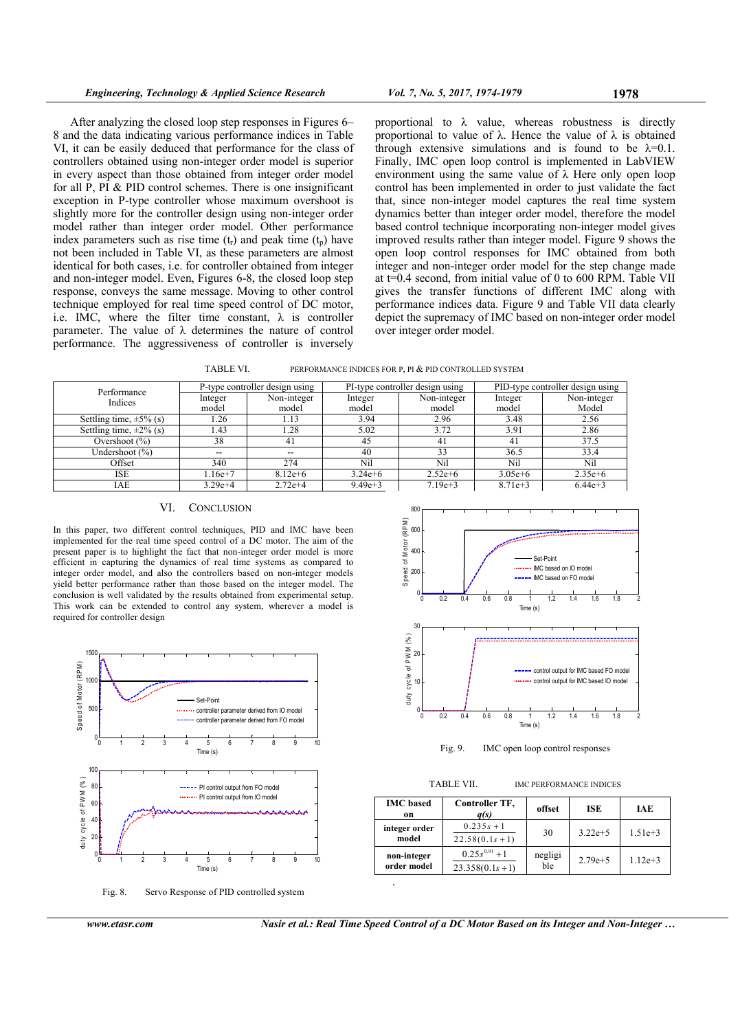After analyzing the closed loop step responses in Figures 6– 8 and the data indicating various performance indices in Table VI, it can be easily deduced that performance for the class of controllers obtained using non-integer order model is superior in every aspect than those obtained from integer order model for all P, PI & PID control schemes. There is one insignificant exception in P-type controller whose maximum overshoot is slightly more for the controller design using non-integer order model rather than integer order model. Other performance index parameters such as rise time  $(t_r)$  and peak time  $(t_p)$  have not been included in Table VI, as these parameters are almost identical for both cases, i.e. for controller obtained from integer and non-integer model. Even, Figures 6-8, the closed loop step response, conveys the same message. Moving to other control technique employed for real time speed control of DC motor, i.e. IMC, where the filter time constant,  $\lambda$  is controller parameter. The value of  $\lambda$  determines the nature of control performance. The aggressiveness of controller is inversely

proportional to  $\lambda$  value, whereas robustness is directly proportional to value of  $\lambda$ . Hence the value of  $\lambda$  is obtained through extensive simulations and is found to be  $\lambda=0.1$ . Finally, IMC open loop control is implemented in LabVIEW environment using the same value of  $\lambda$  Here only open loop control has been implemented in order to just validate the fact that, since non-integer model captures the real time system dynamics better than integer order model, therefore the model based control technique incorporating non-integer model gives improved results rather than integer model. Figure 9 shows the open loop control responses for IMC obtained from both integer and non-integer order model for the step change made at t=0.4 second, from initial value of 0 to 600 RPM. Table VII gives the transfer functions of different IMC along with performance indices data. Figure 9 and Table VII data clearly depict the supremacy of IMC based on non-integer order model over integer order model.



| Performance                  |            | P-type controller design using | PI-type controller design using |             | PID-type controller design using |             |
|------------------------------|------------|--------------------------------|---------------------------------|-------------|----------------------------------|-------------|
| Indices                      | Integer    | Non-integer                    | Integer                         | Non-integer | Integer                          | Non-integer |
|                              | model      | model                          | model                           | model       | model                            | Model       |
| Settling time, $\pm 5\%$ (s) | 1.26       | 1.13                           | 3.94                            | 2.96        | 3.48                             | 2.56        |
| Settling time, $\pm 2\%$ (s) | 1.43       | 1.28                           | 5.02                            | 3.72        | 3.91                             | 2.86        |
| Overshoot $(\%)$             | 38         | 41                             | 45                              | 41          | 41                               | 37.5        |
| Undershoot (%)               | --         |                                | 40                              | 33          | 36.5                             | 33.4        |
| Offset                       | 340        | 274                            | Nil                             | Nil         | Nil                              | Nil         |
| <b>ISE</b>                   | $.16e + 7$ | $8.12e+6$                      | $3.24e + 6$                     | $2.52e+6$   | $3.05e + 6$                      | $2.35e+6$   |
| IAE                          | $3.29e+4$  | $2.72e+4$                      | $9.49e + 3$                     | $7.19e+3$   | $8.71e+3$                        | $6.44e+3$   |

### VI. CONCLUSION

In this paper, two different control techniques, PID and IMC have been implemented for the real time speed control of a DC motor. The aim of the present paper is to highlight the fact that non-integer order model is more efficient in capturing the dynamics of real time systems as compared to integer order model, and also the controllers based on non-integer models yield better performance rather than those based on the integer model. The conclusion is well validated by the results obtained from experimental setup. This work can be extended to control any system, wherever a model is required for controller design



Fig. 8. Servo Response of PID controlled system



Time (s) Fig. 9. IMC open loop control responses

<sup>0</sup> 0.2 0.4 0.6 0.8 <sup>1</sup> 1.2 1.4 1.6 1.8 <sup>2</sup> <sup>0</sup>

TABLE VII. **IMC PERFORMANCE INDICES** 

| $0.235s + 1$<br>integer order<br>$3.22e+5$<br>30<br>model<br>$22.58(0.1s + 1)$<br>$0.25s^{0.91}+1$<br>negligi<br>non-integer<br>$2.79e+5$ | <b>IMC</b> based<br>on | Controller TF,<br>q(s) | offset | ISE | IAE       |
|-------------------------------------------------------------------------------------------------------------------------------------------|------------------------|------------------------|--------|-----|-----------|
|                                                                                                                                           |                        |                        |        |     | $1.51e+3$ |
|                                                                                                                                           | order model            | $23.358(0.1s+1)$       | ble    |     | $1.12e+3$ |